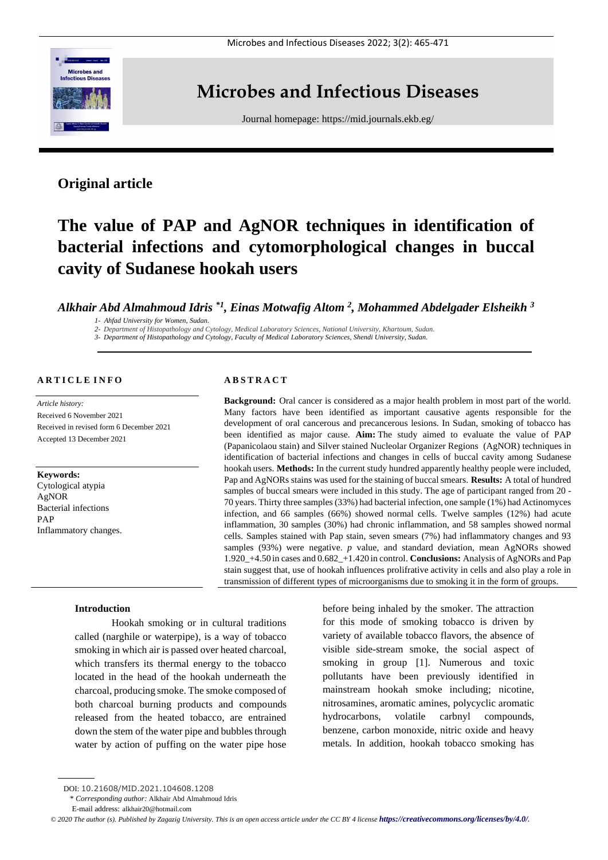

## **Microbes and Infectious Diseases**

Journal homepage:<https://mid.journals.ekb.eg/>

### **Original article**

# **The value of PAP and AgNOR techniques in identification of bacterial infections and cytomorphological changes in buccal cavity of Sudanese hookah users**

*Alkhair Abd Almahmoud Idris \*1, Einas Motwafig Altom <sup>2</sup> , Mohammed Abdelgader Elsheikh <sup>3</sup>*

*1- Ahfad University for Women, Sudan.*

*2- Department of Histopathology and Cytology, Medical Laboratory Sciences, National University, Khartoum, Sudan.*

*3- Department of Histopathology and Cytology, Faculty of Medical Laboratory Sciences, Shendi University, Sudan.*

#### **A R T I C L E I N F O**

*Article history:*  Received 6 November 2021 Received in revised form 6 December 2021 Accepted 13 December 2021

#### **Keywords:**

Cytological atypia AgNOR Bacterial infections PAP Inflammatory changes.

#### **A B S T R A C T**

**Background:** Oral cancer is considered as a major health problem in most part of the world. Many factors have been identified as important causative agents responsible for the development of oral cancerous and precancerous lesions. In Sudan, smoking of tobacco has been identified as major cause. **Aim:** The study aimed to evaluate the value of PAP (Papanicolaou stain) and Silver stained Nucleolar Organizer Regions (AgNOR) techniques in identification of bacterial infections and changes in cells of buccal cavity among Sudanese hookah users. **Methods:** In the current study hundred apparently healthy people were included, Pap and AgNORs stains was used for the staining of buccal smears. **Results:** A total of hundred samples of buccal smears were included in this study. The age of participant ranged from 20 - 70 years. Thirty three samples (33%) had bacterial infection, one sample (1%) had Actinomyces infection, and 66 samples (66%) showed normal cells. Twelve samples (12%) had acute inflammation, 30 samples (30%) had chronic inflammation, and 58 samples showed normal cells. Samples stained with Pap stain, seven smears (7%) had inflammatory changes and 93 samples (93%) were negative. *p* value, and standard deviation, mean AgNORs showed 1.920\_+4.50 in cases and 0.682\_+1.420 in control. **Conclusions:** Analysis of AgNORs and Pap stain suggest that, use of hookah influences prolifrative activity in cells and also play a role in transmission of different types of microorganisms due to smoking it in the form of groups.

#### **Introduction**

Hookah smoking or in cultural traditions called (narghile or waterpipe), is a way of tobacco smoking in which air is passed over heated charcoal, which transfers its thermal energy to the tobacco located in the head of the hookah underneath the charcoal, producing smoke. The smoke composed of both charcoal burning products and compounds released from the heated tobacco, are entrained down the stem of the water pipe and bubbles through water by action of puffing on the water pipe hose

before being inhaled by the smoker. The attraction for this mode of smoking tobacco is driven by variety of available tobacco flavors, the absence of visible side-stream smoke, the social aspect of smoking in group [1]. Numerous and toxic pollutants have been previously identified in mainstream hookah smoke including; nicotine, nitrosamines, aromatic amines, polycyclic aromatic hydrocarbons, volatile carbnyl compounds, benzene, carbon monoxide, nitric oxide and heavy metals. In addition, hookah tobacco smoking has

\* *Corresponding author:* Alkhair Abd Almahmoud Idris

DOI: 10.21608/MID.2021.104608.1208

E-mail address: alkhair20@hotmail.com

*<sup>©</sup> 2020 The author (s). Published by Zagazig University. This is an open access article under the CC BY 4 license <https://creativecommons.org/licenses/by/4.0/>.*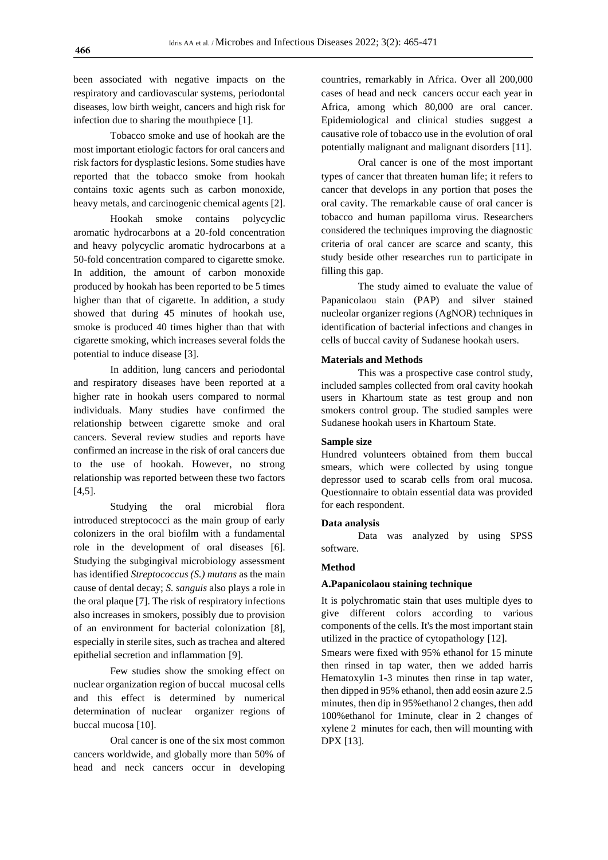been associated with negative impacts on the respiratory and cardiovascular systems, periodontal diseases, low birth weight, cancers and high risk for infection due to sharing the mouthpiece [1].

Tobacco smoke and use of hookah are the most important etiologic factors for oral cancers and risk factors for dysplastic lesions. Some studies have reported that the tobacco smoke from hookah contains toxic agents such as carbon monoxide, heavy metals, and carcinogenic chemical agents [2].

Hookah smoke contains polycyclic aromatic hydrocarbons at a 20-fold concentration and heavy polycyclic aromatic hydrocarbons at a 50-fold concentration compared to cigarette smoke. In addition, the amount of carbon monoxide produced by hookah has been reported to be 5 times higher than that of cigarette. In addition, a study showed that during 45 minutes of hookah use, smoke is produced 40 times higher than that with cigarette smoking, which increases several folds the potential to induce disease [3].

In addition, lung cancers and periodontal and respiratory diseases have been reported at a higher rate in hookah users compared to normal individuals. Many studies have confirmed the relationship between cigarette smoke and oral cancers. Several review studies and reports have confirmed an increase in the risk of oral cancers due to the use of hookah. However, no strong relationship was reported between these two factors [4,5].

Studying the oral microbial flora introduced streptococci as the main group of early colonizers in the oral biofilm with a fundamental role in the development of oral diseases [6]. Studying the subgingival microbiology assessment has identified *Streptococcus (S.) mutans* as the main cause of dental decay; *S. sanguis* also plays a role in the oral plaque [\[7\]](https://sites.kowsarpub.com/iji/articles/70719.html#A70719REF16). The risk of respiratory infections also increases in smokers, possibly due to provision of an environment for bacterial colonization [\[8\]](https://sites.kowsarpub.com/iji/articles/70719.html#A70719REF17), especially in sterile sites, such as trachea and altered epithelial secretion and inflammation [\[9\]](https://sites.kowsarpub.com/iji/articles/70719.html#A70719REF18).

Few studies show the smoking effect on nuclear organization region of buccal mucosal cells and this effect is determined by numerical determination of nuclear organizer regions of buccal mucosa [10].

Oral cancer is one of the six most common cancers worldwide, and globally more than 50% of head and neck cancers occur in developing

countries, remarkably in Africa. Over all 200,000 cases of head and neck cancers occur each year in Africa, among which 80,000 are oral cancer. Epidemiological and clinical studies suggest a causative role of tobacco use in the evolution of oral potentially malignant and malignant disorders [11].

Oral cancer is one of the most important types of cancer that threaten human life; it refers to cancer that develops in any portion that poses the oral cavity. The remarkable cause of oral cancer is tobacco and human papilloma virus. Researchers considered the techniques improving the diagnostic criteria of oral cancer are scarce and scanty, this study beside other researches run to participate in filling this gap.

The study aimed to evaluate the value of Papanicolaou stain (PAP) and silver stained nucleolar organizer regions (AgNOR) techniques in identification of bacterial infections and changes in cells of buccal cavity of Sudanese hookah users.

#### **Materials and Methods**

This was a prospective case control study, included samples collected from oral cavity hookah users in Khartoum state as test group and non smokers control group. The studied samples were Sudanese hookah users in Khartoum State.

#### **Sample size**

Hundred volunteers obtained from them buccal smears, which were collected by using tongue depressor used to scarab cells from oral mucosa. Questionnaire to obtain essential data was provided for each respondent.

#### **Data analysis**

Data was analyzed by using SPSS software.

#### **Method**

#### **A.Papanicolaou staining technique**

It is polychromatic stain that uses multiple dyes to give different colors according to various components of the cells. It's the most important stain utilized in the practice of cytopathology [12].

Smears were fixed with 95% ethanol for 15 minute then rinsed in tap water, then we added harris Hematoxylin 1-3 minutes then rinse in tap water, then dipped in 95% ethanol, then add eosin azure 2.5 minutes, then dip in 95%ethanol 2 changes, then add 100%ethanol for 1minute, clear in 2 changes of xylene 2 minutes for each, then will mounting with DPX [13].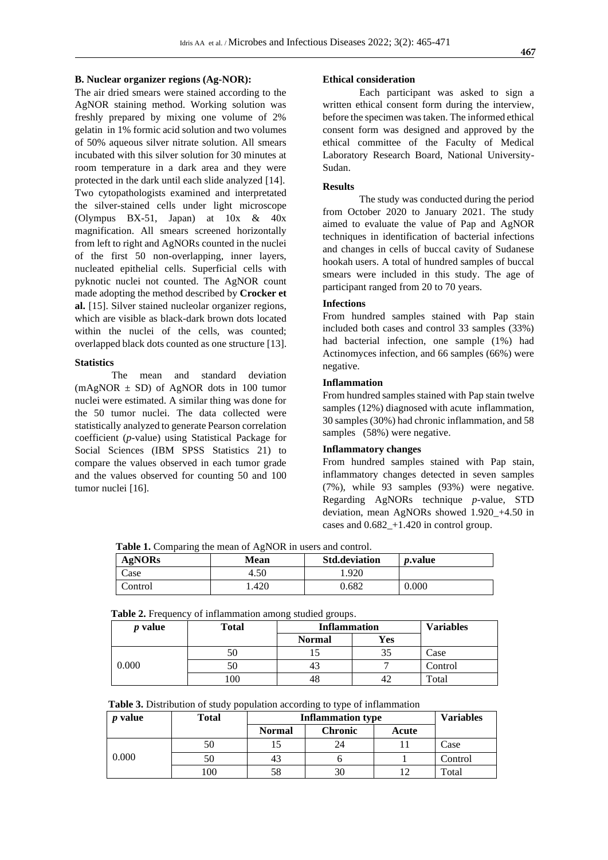#### **B. Nuclear organizer regions (Ag-NOR):**

The air dried smears were stained according to the AgNOR staining method. Working solution was freshly prepared by mixing one volume of 2% gelatin in 1% formic acid solution and two volumes of 50% aqueous silver nitrate solution. All smears incubated with this silver solution for 30 minutes at room temperature in a dark area and they were protected in the dark until each slide analyzed [14]. Two cytopathologists examined and interpretated the silver-stained cells under light microscope (Olympus BX-51, Japan) at  $10x \& 40x$ magnification. All smears screened horizontally from left to right and AgNORs counted in the nuclei of the first 50 non-overlapping, inner layers, nucleated epithelial cells. Superficial cells with pyknotic nuclei not counted. The AgNOR count made adopting the method described by **Crocker et al.** [15]. Silver stained nucleolar organizer regions, which are visible as black-dark brown dots located within the nuclei of the cells, was counted; overlapped black dots counted as one structure [13].

#### **Statistics**

The mean and standard deviation  $(mAgNOR \pm SD)$  of AgNOR dots in 100 tumor nuclei were estimated. A similar thing was done for the 50 tumor nuclei. The data collected were statistically analyzed to generate Pearson correlation coefficient (*p*-value) using Statistical Package for Social Sciences (IBM SPSS Statistics 21) to compare the values observed in each tumor grade and the values observed for counting 50 and 100 tumor nuclei [16].

#### **Ethical consideration**

Each participant was asked to sign a written ethical consent form during the interview, before the specimen was taken. The informed ethical consent form was designed and approved by the ethical committee of the Faculty of Medical Laboratory Research Board, National University-Sudan.

#### **Results**

The study was conducted during the period from October 2020 to January 2021. The study aimed to evaluate the value of Pap and AgNOR techniques in identification of bacterial infections and changes in cells of buccal cavity of Sudanese hookah users. A total of hundred samples of buccal smears were included in this study. The age of participant ranged from 20 to 70 years.

#### **Infections**

From hundred samples stained with Pap stain included both cases and control 33 samples (33%) had bacterial infection, one sample (1%) had Actinomyces infection, and 66 samples (66%) were negative.

#### **Inflammation**

From hundred samples stained with Pap stain twelve samples (12%) diagnosed with acute inflammation, 30 samples (30%) had chronic inflammation, and 58 samples (58%) were negative.

#### **Inflammatory changes**

From hundred samples stained with Pap stain, inflammatory changes detected in seven samples (7%), while 93 samples (93%) were negative. Regarding AgNORs technique *p*-value, STD deviation, mean AgNORs showed 1.920\_+4.50 in cases and 0.682\_+1.420 in control group.

Table 1. Comparing the mean of AgNOR in users and control.

| <b>AgNORs</b> | Mean | <b>Std.deviation</b> | <i>p</i> .value |
|---------------|------|----------------------|-----------------|
| $\angle$ ase  | 4.50 | 1.920                |                 |
| Control       | .420 | 0.682                | 0.000           |

**Table 2.** Frequency of inflammation among studied groups.

| <i>p</i> value | Total | <b>Inflammation</b>  |    | <b>Variables</b> |
|----------------|-------|----------------------|----|------------------|
|                |       | Yes<br><b>Normal</b> |    |                  |
|                |       |                      | ЭJ | Case             |
| 0.000          |       |                      |    | Control          |
|                | .00   | 40                   |    | Total            |

| Table 3. Distribution of study population according to type of inflammation |  |  |  |
|-----------------------------------------------------------------------------|--|--|--|
|-----------------------------------------------------------------------------|--|--|--|

| <i>p</i> value | Total | <b>Inflammation type</b> | <b>Variables</b> |       |         |
|----------------|-------|--------------------------|------------------|-------|---------|
|                |       | <b>Normal</b>            | <b>Chronic</b>   | Acute |         |
| 0.000          | 50    |                          | 24               |       | Case    |
|                |       | 43                       |                  |       | Control |
|                | 100   | 58                       | 30               |       | Total   |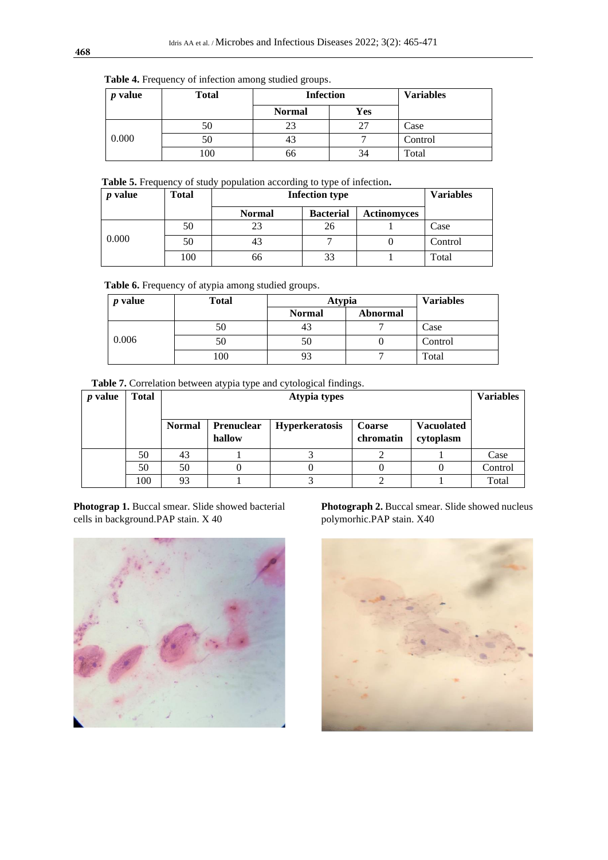#### **Table 4.** Frequency of infection among studied groups.

| <i>p</i> value | <b>Total</b> | <b>Infection</b> | <b>Variables</b> |         |
|----------------|--------------|------------------|------------------|---------|
|                |              | <b>Normal</b>    | Yes              |         |
|                | 50           | 23               |                  | Case    |
| 0.000          | 50           | 43               |                  | Control |
|                | 100          | 66               | 34               | Total   |

### **Table 5.** Frequency of study population according to type of infection**.**

| <i>p</i> value | Total | <b>Infection type</b>                                   | <b>Variables</b> |  |         |
|----------------|-------|---------------------------------------------------------|------------------|--|---------|
|                |       | <b>Bacterial</b><br><b>Actinomyces</b><br><b>Normal</b> |                  |  |         |
|                | 50    | 23                                                      | 26               |  | Case    |
| 0.000          | 50    | 43                                                      |                  |  | Control |
|                | 100   | 66                                                      | 33               |  | Total   |

**Table 6.** Frequency of atypia among studied groups.

| value<br><sub>n</sub> | <b>Total</b> | <b>Atypia</b> | <b>Variables</b> |         |
|-----------------------|--------------|---------------|------------------|---------|
|                       |              | <b>Normal</b> | Abnormal         |         |
|                       | 50           | 43            |                  | Case    |
| 0.006                 | 50           | 50            |                  | Control |
|                       | 100          | 93            |                  | Total   |

| Table 7. Correlation between atypia type and cytological findings. |  |  |  |  |  |
|--------------------------------------------------------------------|--|--|--|--|--|
|--------------------------------------------------------------------|--|--|--|--|--|

| value<br>$\boldsymbol{p}$ | <b>Total</b> |               | <b>Atypia types</b>                                                                                           |  |  |  |         |
|---------------------------|--------------|---------------|---------------------------------------------------------------------------------------------------------------|--|--|--|---------|
|                           |              | <b>Normal</b> | <b>Vacuolated</b><br><b>Prenuclear</b><br><b>Hyperkeratosis</b><br>Coarse<br>chromatin<br>hallow<br>cytoplasm |  |  |  |         |
|                           | 50           | 43            |                                                                                                               |  |  |  | Case    |
|                           | 50           | 50            |                                                                                                               |  |  |  | Control |
|                           | 100          | 93            |                                                                                                               |  |  |  | Total   |

**Photograp 1.** Buccal smear. Slide showed bacterial cells in background.PAP stain. X 40



**Photograph 2.** Buccal smear. Slide showed nucleus polymorhic.PAP stain. X40

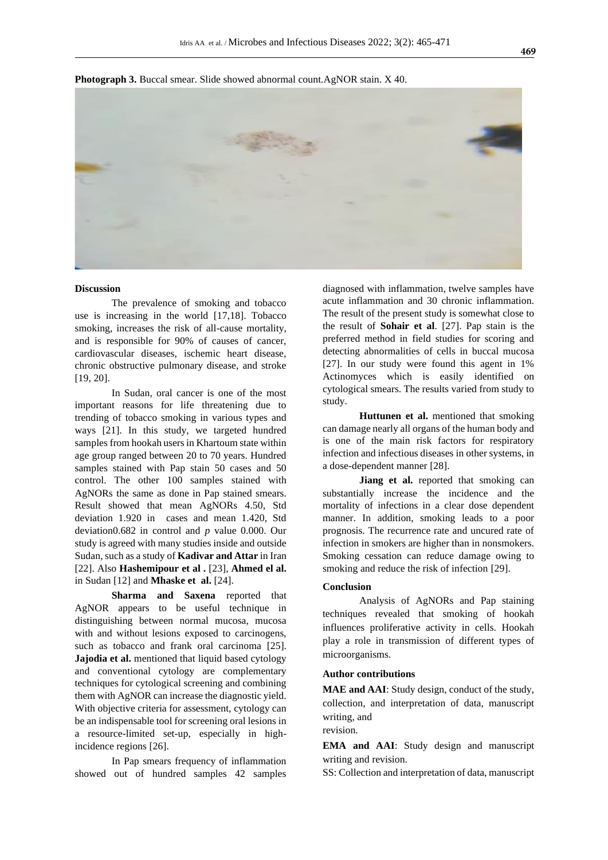

**Photograph 3.** Buccal smear. Slide showed abnormal count.AgNOR stain. X 40.

#### **Discussion**

The prevalence of smoking and tobacco use is increasing in the world [17,18]. Tobacco smoking, increases the risk of all-cause mortality, and is responsible for 90% of causes of cancer, cardiovascular diseases, ischemic heart disease, chronic obstructive pulmonary disease, and stroke [19, 20].

In Sudan, oral cancer is one of the most important reasons for life threatening due to trending of tobacco smoking in various types and ways [21]. In this study, we targeted hundred samples from hookah users in Khartoum state within age group ranged between 20 to 70 years. Hundred samples stained with Pap stain 50 cases and 50 control. The other 100 samples stained with AgNORs the same as done in Pap stained smears. Result showed that mean AgNORs 4.50, Std deviation 1.920 in cases and mean 1.420, Std deviation0.682 in control and *p* value 0.000. Our study is agreed with many studies inside and outside Sudan, such as a study of **Kadivar and Attar** in Iran [22]. Also **Hashemipour et al .** [23], **Ahmed el al.** in Sudan [12] and **Mhaske et al.** [24].

**Sharma and Saxena** reported that AgNOR appears to be useful technique in distinguishing between normal mucosa, mucosa with and without lesions exposed to carcinogens, such as tobacco and frank oral carcinoma [25]. **Jajodia et al.** mentioned that liquid based cytology and conventional cytology are complementary techniques for cytological screening and combining them with AgNOR can increase the diagnostic yield. With objective criteria for assessment, cytology can be an indispensable tool for screening oral lesions in a resource-limited set-up, especially in highincidence regions [26].

In Pap smears frequency of inflammation showed out of hundred samples 42 samples diagnosed with inflammation, twelve samples have acute inflammation and 30 chronic inflammation. The result of the present study is somewhat close to the result of **Sohair et al**. [27]. Pap stain is the preferred method in field studies for scoring and detecting abnormalities of cells in buccal mucosa [27]. In our study were found this agent in 1% Actinomyces which is easily identified on cytological smears. The results varied from study to study.

**Huttunen et al.** mentioned that smoking can damage nearly all organs of the human body and is one of the main risk factors for respiratory infection and infectious diseases in other systems, in a dose-dependent manner [28].

**Jiang et al.** reported that smoking can substantially increase the incidence and the mortality of infections in a clear dose dependent manner. In addition, smoking leads to a poor prognosis. The recurrence rate and uncured rate of infection in smokers are higher than in nonsmokers. Smoking cessation can reduce damage owing to smoking and reduce the risk of infection [29].

#### **Conclusion**

Analysis of AgNORs and Pap staining techniques revealed that smoking of hookah influences proliferative activity in cells. Hookah play a role in transmission of different types of microorganisms.

#### **Author contributions**

**MAE and AAI**: Study design, conduct of the study, collection, and interpretation of data, manuscript writing, and revision.

**EMA and AAI**: Study design and manuscript writing and revision.

SS: Collection and interpretation of data, manuscript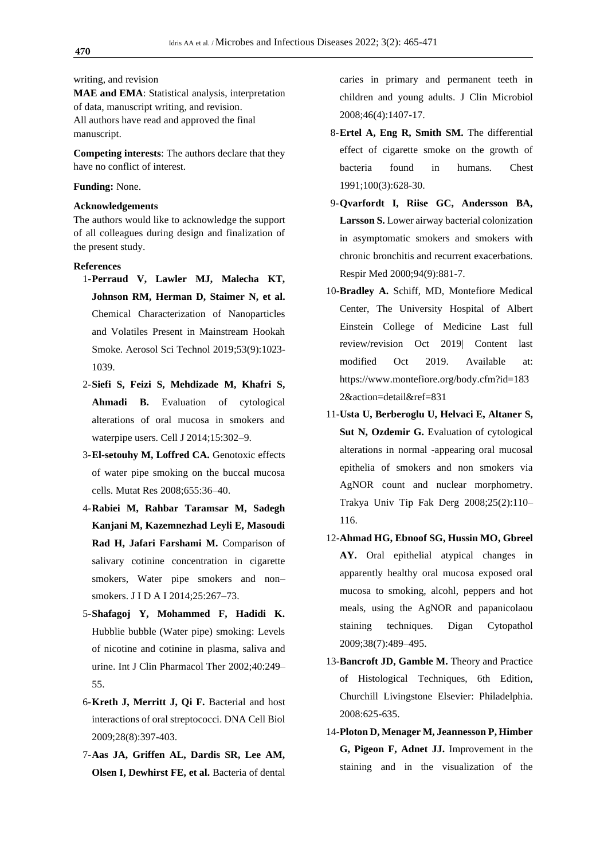writing, and revision

**MAE and EMA**: Statistical analysis, interpretation of data, manuscript writing, and revision. All authors have read and approved the final manuscript.

**Competing interests**: The authors declare that they have no conflict of interest.

#### **Funding:** None.

#### **Acknowledgements**

The authors would like to acknowledge the support of all colleagues during design and finalization of the present study.

#### **References**

- 1-**Perraud V, Lawler MJ, Malecha KT, Johnson RM, Herman D, Staimer N, et al.** Chemical Characterization of Nanoparticles and Volatiles Present in Mainstream Hookah Smoke. Aerosol Sci Technol 2019;53(9):1023- 1039.
- 2-**Siefi S, Feizi S, Mehdizade M, Khafri S, Ahmadi B.** Evaluation of cytological alterations of oral mucosa in smokers and waterpipe users. Cell J 2014;15:302–9.
- 3-**El-setouhy M, Loffred CA.** Genotoxic effects of water pipe smoking on the buccal mucosa cells. Mutat Res 2008;655:36–40.
- 4-**Rabiei M, Rahbar Taramsar M, Sadegh Kanjani M, Kazemnezhad Leyli E, Masoudi Rad H, Jafari Farshami M.** Comparison of salivary cotinine concentration in cigarette smokers, Water pipe smokers and non– smokers. J I D A I 2014;25:267–73.
- 5-**Shafagoj Y, Mohammed F, Hadidi K.** Hubblie bubble (Water pipe) smoking: Levels of nicotine and cotinine in plasma, saliva and urine. Int J Clin Pharmacol Ther 2002;40:249– 55.
- 6-**Kreth J, Merritt J, Qi F.** Bacterial and host interactions of oral streptococci. DNA Cell Biol 2009;28(8):397-403.
- 7-**Aas JA, Griffen AL, Dardis SR, Lee AM, Olsen I, Dewhirst FE, et al.** Bacteria of dental

caries in primary and permanent teeth in children and young adults. J Clin Microbiol 2008;46(4):1407-17.

- 8-**Ertel A, Eng R, Smith SM.** The differential effect of cigarette smoke on the growth of bacteria found in humans. Chest 1991;100(3):628-30.
- 9-**Qvarfordt I, Riise GC, Andersson BA, Larsson S.** Lower airway bacterial colonization in asymptomatic smokers and smokers with chronic bronchitis and recurrent exacerbations. Respir Med 2000;94(9):881-7.
- 10-**Bradley A.** Schiff, MD, Montefiore Medical Center, The University Hospital of Albert Einstein College of Medicine Last full review/revision Oct 2019| Content last modified Oct 2019. Available at: https://www.montefiore.org/body.cfm?id=183 2&action=detail&ref=831
- 11-**Usta U, Berberoglu U, Helvaci E, Altaner S, Sut N, Ozdemir G.** Evaluation of cytological alterations in normal -appearing oral mucosal epithelia of smokers and non smokers via AgNOR count and nuclear morphometry. Trakya Univ Tip Fak Derg 2008;25(2):110– 116.
- 12-**Ahmad HG, Ebnoof SG, Hussin MO, Gbreel AY.** Oral epithelial atypical changes in apparently healthy oral mucosa exposed oral mucosa to smoking, alcohl, peppers and hot meals, using the AgNOR and papanicolaou staining techniques. Digan Cytopathol 2009;38(7):489–495.
- 13-**Bancroft JD, Gamble M.** Theory and Practice of Histological Techniques, 6th Edition, Churchill Livingstone Elsevier: Philadelphia. 2008:625-635.
- 14-**Ploton D, Menager M, Jeannesson P, Himber G, Pigeon F, Adnet JJ.** Improvement in the staining and in the visualization of the